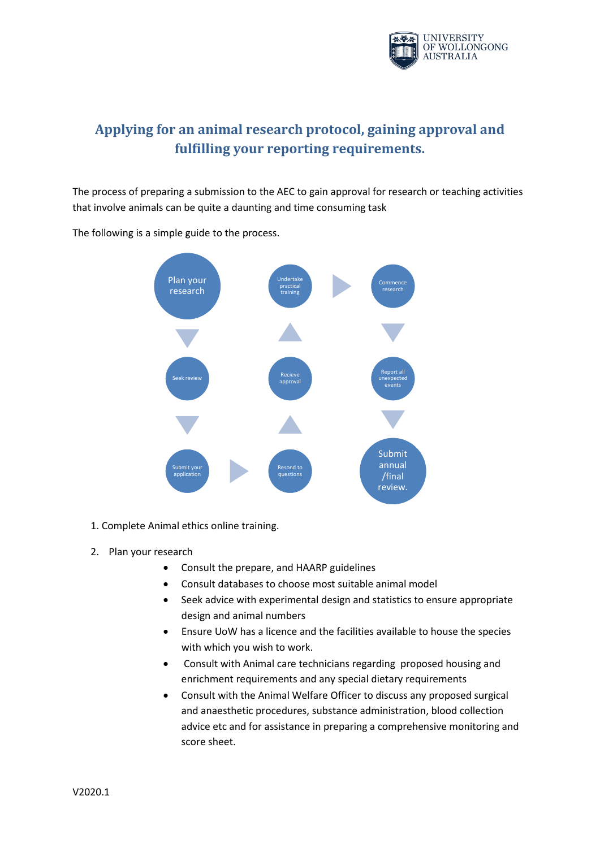

## **Applying for an animal research protocol, gaining approval and fulfilling your reporting requirements.**

The process of preparing a submission to the AEC to gain approval for research or teaching activities that involve animals can be quite a daunting and time consuming task



The following is a simple guide to the process.

- 1. Complete Animal ethics online training.
- 2. Plan your research
	- Consult the prepare, and HAARP guidelines
	- Consult databases to choose most suitable animal model
	- Seek advice with experimental design and statistics to ensure appropriate design and animal numbers
	- Ensure UoW has a licence and the facilities available to house the species with which you wish to work.
	- Consult with Animal care technicians regarding proposed housing and enrichment requirements and any special dietary requirements
	- Consult with the Animal Welfare Officer to discuss any proposed surgical and anaesthetic procedures, substance administration, blood collection advice etc and for assistance in preparing a comprehensive monitoring and score sheet.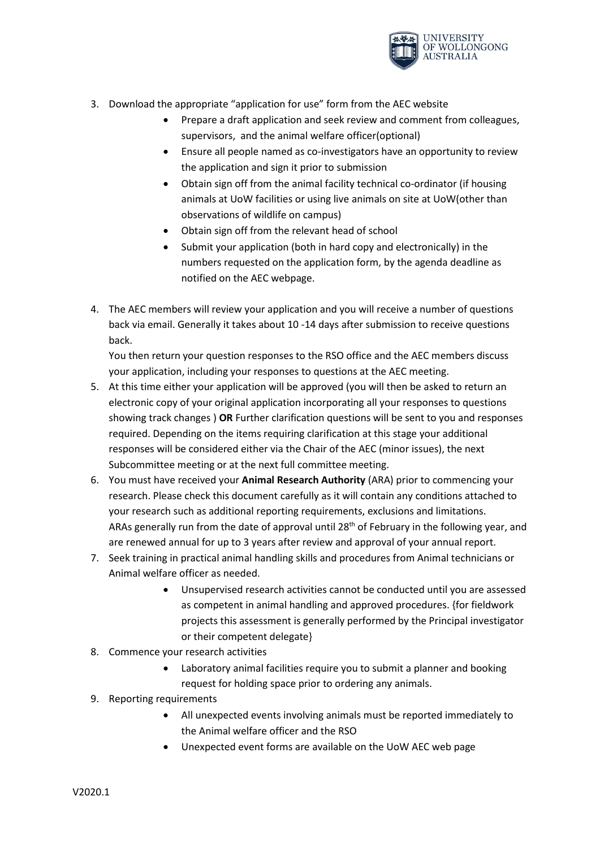

- 3. Download the appropriate "application for use" form from the AEC website
	- Prepare a draft application and seek review and comment from colleagues, supervisors, and the animal welfare officer(optional)
	- Ensure all people named as co-investigators have an opportunity to review the application and sign it prior to submission
	- Obtain sign off from the animal facility technical co-ordinator (if housing animals at UoW facilities or using live animals on site at UoW(other than observations of wildlife on campus)
	- Obtain sign off from the relevant head of school
	- Submit your application (both in hard copy and electronically) in the numbers requested on the application form, by the agenda deadline as notified on the AEC webpage.
- 4. The AEC members will review your application and you will receive a number of questions back via email. Generally it takes about 10 -14 days after submission to receive questions back.

You then return your question responses to the RSO office and the AEC members discuss your application, including your responses to questions at the AEC meeting.

- 5. At this time either your application will be approved (you will then be asked to return an electronic copy of your original application incorporating all your responses to questions showing track changes ) **OR** Further clarification questions will be sent to you and responses required. Depending on the items requiring clarification at this stage your additional responses will be considered either via the Chair of the AEC (minor issues), the next Subcommittee meeting or at the next full committee meeting.
- 6. You must have received your **Animal Research Authority** (ARA) prior to commencing your research. Please check this document carefully as it will contain any conditions attached to your research such as additional reporting requirements, exclusions and limitations. ARAs generally run from the date of approval until 28<sup>th</sup> of February in the following year, and are renewed annual for up to 3 years after review and approval of your annual report.
- 7. Seek training in practical animal handling skills and procedures from Animal technicians or Animal welfare officer as needed.
	- Unsupervised research activities cannot be conducted until you are assessed as competent in animal handling and approved procedures. {for fieldwork projects this assessment is generally performed by the Principal investigator or their competent delegate}
- 8. Commence your research activities
	- Laboratory animal facilities require you to submit a planner and booking request for holding space prior to ordering any animals.
- 9. Reporting requirements
	- All unexpected events involving animals must be reported immediately to the Animal welfare officer and the RSO
	- Unexpected event forms are available on the UoW AEC web page